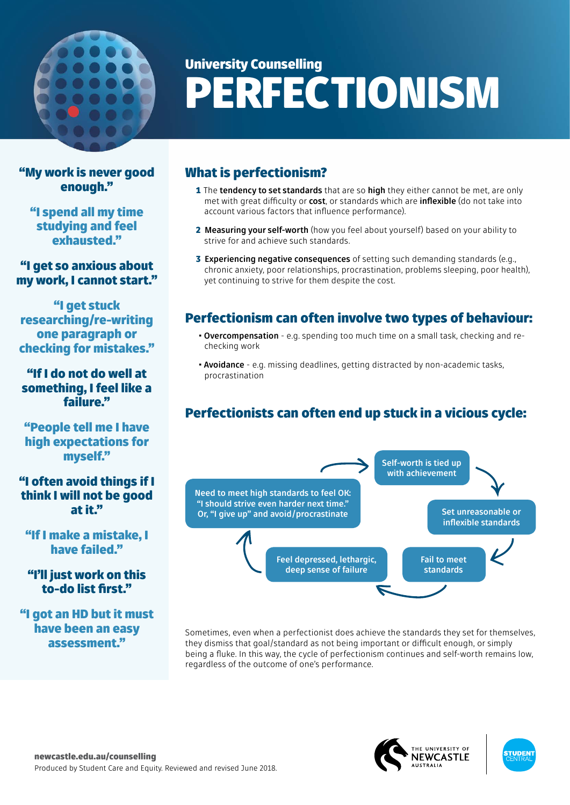

# University Counselling PERFECTIONISM

"My work is never good enough."

"I spend all my time studying and feel exhausted."

"I get so anxious about my work, I cannot start."

"I get stuck researching/re-writing one paragraph or checking for mistakes."

"If I do not do well at something, I feel like a failure."

"People tell me I have high expectations for myself."

#### "I often avoid things if I think I will not be good at it."

"If I make a mistake, I have failed."

### "I'll just work on this to-do list first."

"I got an HD but it must have been an easy assessment."

## What is perfectionism?

- 1 The **tendency to set standards** that are so **high** they either cannot be met, are only met with great difficulty or **cost**, or standards which are **inflexible** (do not take into account various factors that influence performance).
- 2 **Measuring your self-worth** (how you feel about yourself) based on your ability to strive for and achieve such standards.
- 3 **Experiencing negative consequences** of setting such demanding standards (e.g., chronic anxiety, poor relationships, procrastination, problems sleeping, poor health), yet continuing to strive for them despite the cost.

## Perfectionism can often involve two types of behaviour:

- **Overcompensation** e.g. spending too much time on a small task, checking and rechecking work
- **Avoidance** e.g. missing deadlines, getting distracted by non-academic tasks, procrastination

## Perfectionists can often end up stuck in a vicious cycle:



Sometimes, even when a perfectionist does achieve the standards they set for themselves, they dismiss that goal/standard as not being important or difficult enough, or simply being a fluke. In this way, the cycle of perfectionism continues and self-worth remains low, regardless of the outcome of one's performance.